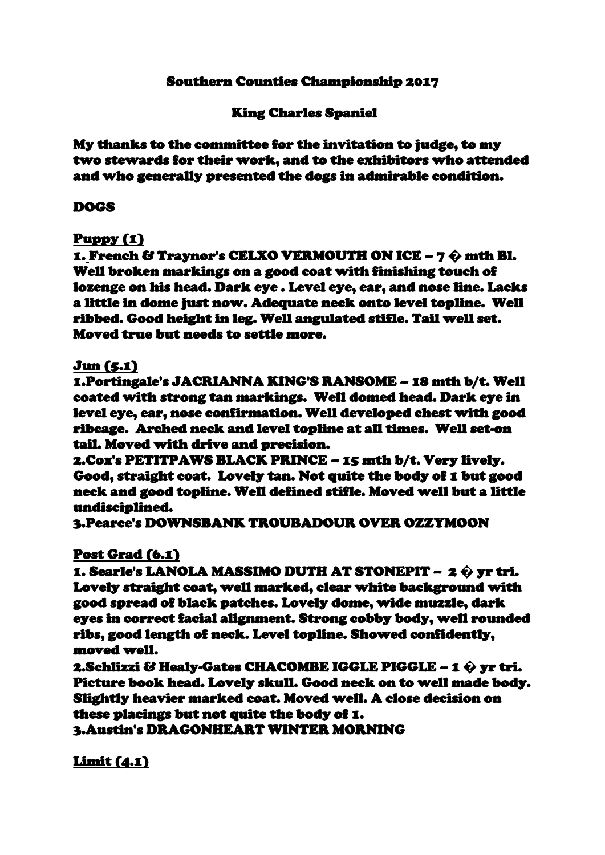## Southern Counties Championship 2017

# King Charles Spaniel

My thanks to the committee for the invitation to judge, to my two stewards for their work, and to the exhibitors who attended and who generally presented the dogs in admirable condition.

### DOGS

### Puppy (1)

1. French & Traynor's CELXO VERMOUTH ON ICE – 7 **�** mth Bl. Well broken markings on a good coat with finishing touch of lozenge on his head. Dark eye . Level eye, ear, and nose line. Lacks a little in dome just now. Adequate neck onto level topline. Well ribbed. Good height in leg. Well angulated stifle. Tail well set. Moved true but needs to settle more.

#### Jun (5.1)

1.Portingale's JACRIANNA KING'S RANSOME – 18 mth b/t. Well coated with strong tan markings. Well domed head. Dark eye in level eye, ear, nose confirmation. Well developed chest with good ribcage. Arched neck and level topline at all times. Well set-on tail. Moved with drive and precision.

2.Cox's PETITPAWS BLACK PRINCE – 15 mth b/t. Very lively. Good, straight coat. Lovely tan. Not quite the body of 1 but good neck and good topline. Well defined stifle. Moved well but a little undisciplined.

3.Pearce's DOWNSBANK TROUBADOUR OVER OZZYMOON

### Post Grad (6.1)

1. Searle's LANOLA MASSIMO DUTH AT STONEPIT – 2 **�** yr tri. Lovely straight coat, well marked, clear white background with good spread of black patches. Lovely dome, wide muzzle, dark eyes in correct facial alignment. Strong cobby body, well rounded ribs, good length of neck. Level topline. Showed confidently, moved well.

2.Schlizzi & Healy-Gates CHACOMBE IGGLE PIGGLE – 1 **�** yr tri. Picture book head. Lovely skull. Good neck on to well made body. Slightly heavier marked coat. Moved well. A close decision on these placings but not quite the body of 1.

3.Austin's DRAGONHEART WINTER MORNING

Limit (4.1)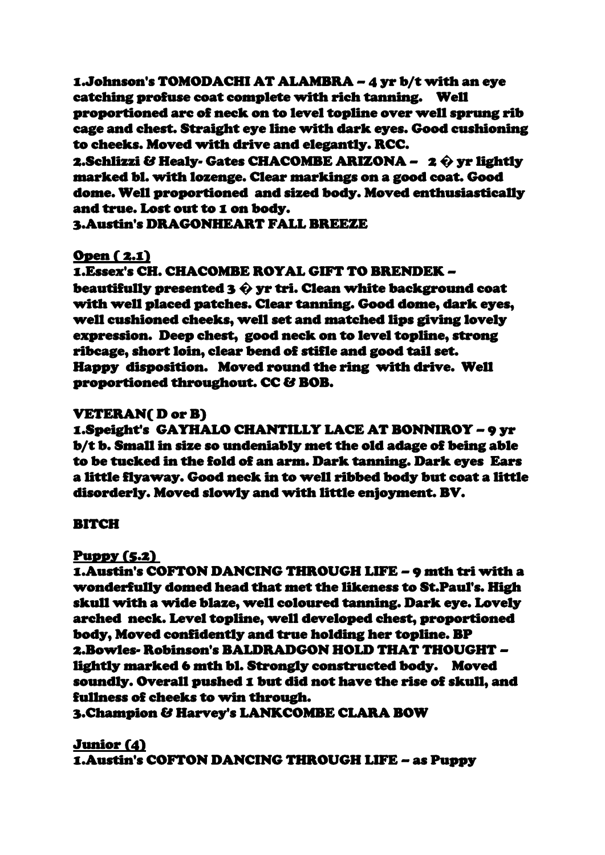1.Johnson's TOMODACHI AT ALAMBRA – 4 yr b/t with an eye catching profuse coat complete with rich tanning. Well proportioned arc of neck on to level topline over well sprung rib cage and chest. Straight eye line with dark eyes. Good cushioning to cheeks. Moved with drive and elegantly. RCC.

2.Schlizzi & Healy- Gates CHACOMBE ARIZONA – 2 **�** yr lightly marked bl. with lozenge. Clear markings on a good coat. Good dome. Well proportioned and sized body. Moved enthusiastically and true. Lost out to 1 on body.

3.Austin's DRAGONHEART FALL BREEZE

# Open ( 2.1)

### 1.Essex's CH. CHACOMBE ROYAL GIFT TO BRENDEK –

beautifully presented 3 **�** yr tri. Clean white background coat with well placed patches. Clear tanning. Good dome, dark eyes, well cushioned cheeks, well set and matched lips giving lovely expression. Deep chest, good neck on to level topline, strong ribcage, short loin, clear bend of stifle and good tail set. Happy disposition. Moved round the ring with drive. Well proportioned throughout. CC & BOB.

### VETERAN( D or B)

1.Speight's GAYHALO CHANTILLY LACE AT BONNIROY – 9 yr b/t b. Small in size so undeniably met the old adage of being able to be tucked in the fold of an arm. Dark tanning. Dark eyes Ears a little flyaway. Good neck in to well ribbed body but coat a little disorderly. Moved slowly and with little enjoyment. BV.

### BITCH

### Puppy (5.2)

1.Austin's COFTON DANCING THROUGH LIFE – 9 mth tri with a wonderfully domed head that met the likeness to St.Paul's. High skull with a wide blaze, well coloured tanning. Dark eye. Lovely arched neck. Level topline, well developed chest, proportioned body, Moved confidently and true holding her topline. BP 2.Bowles- Robinson's BALDRADGON HOLD THAT THOUGHT – lightly marked 6 mth bl. Strongly constructed body. Moved soundly. Overall pushed 1 but did not have the rise of skull, and fullness of cheeks to win through.

3.Champion & Harvey's LANKCOMBE CLARA BOW

Junior (4) 1.Austin's COFTON DANCING THROUGH LIFE – as Puppy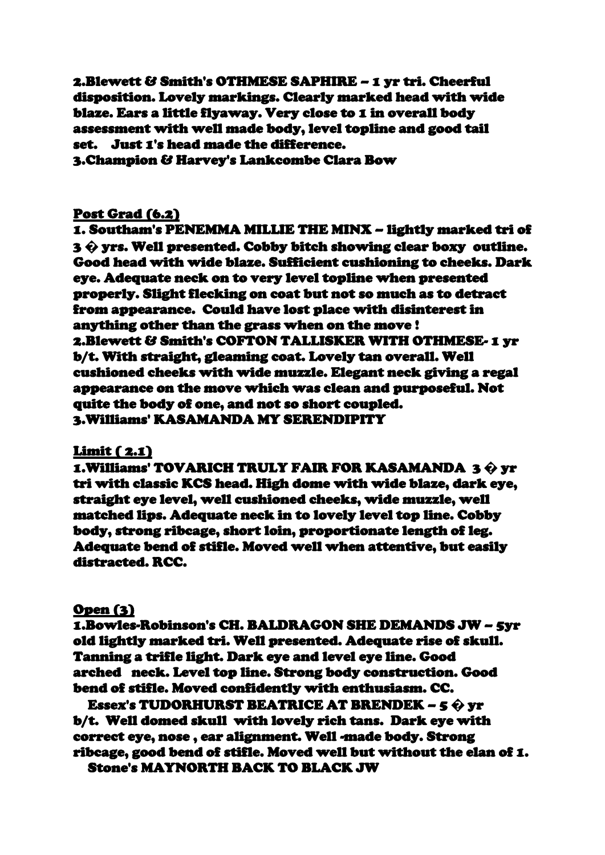2.Blewett & Smith's OTHMESE SAPHIRE – 1 yr tri. Cheerful disposition. Lovely markings. Clearly marked head with wide blaze. Ears a little flyaway. Very close to 1 in overall body assessment with well made body, level topline and good tail set. Just 1's head made the difference. 3.Champion & Harvey's Lankcombe Clara Bow

# Post Grad (6.2)

1. Southam's PENEMMA MILLIE THE MINX – lightly marked tri of 3 **�** yrs. Well presented. Cobby bitch showing clear boxy outline. Good head with wide blaze. Sufficient cushioning to cheeks. Dark eye. Adequate neck on to very level topline when presented properly. Slight flecking on coat but not so much as to detract from appearance. Could have lost place with disinterest in anything other than the grass when on the move ! 2.Blewett & Smith's COFTON TALLISKER WITH OTHMESE- 1 yr b/t. With straight, gleaming coat. Lovely tan overall. Well cushioned cheeks with wide muzzle. Elegant neck giving a regal appearance on the move which was clean and purposeful. Not quite the body of one, and not so short coupled. 3.Williams' KASAMANDA MY SERENDIPITY

### Limit ( 2.1)

1.Williams' TOVARICH TRULY FAIR FOR KASAMANDA 3 **�** yr tri with classic KCS head. High dome with wide blaze, dark eye, straight eye level, well cushioned cheeks, wide muzzle, well matched lips. Adequate neck in to lovely level top line. Cobby body, strong ribcage, short loin, proportionate length of leg. Adequate bend of stifle. Moved well when attentive, but easily distracted. RCC.

### Open (3)

1.Bowles-Robinson's CH. BALDRAGON SHE DEMANDS JW – 5yr old lightly marked tri. Well presented. Adequate rise of skull. Tanning a trifle light. Dark eye and level eye line. Good arched neck. Level top line. Strong body construction. Good bend of stifle. Moved confidently with enthusiasm. CC.

2. Essex's TUDORHURST BEATRICE AT BRENDEK – 5 **�** yr b/t. Well domed skull with lovely rich tans. Dark eye with correct eye, nose , ear alignment. Well -made body. Strong ribcage, good bend of stifle. Moved well but without the elan of 1. Stone's MAYNORTH BACK TO BLACK JW